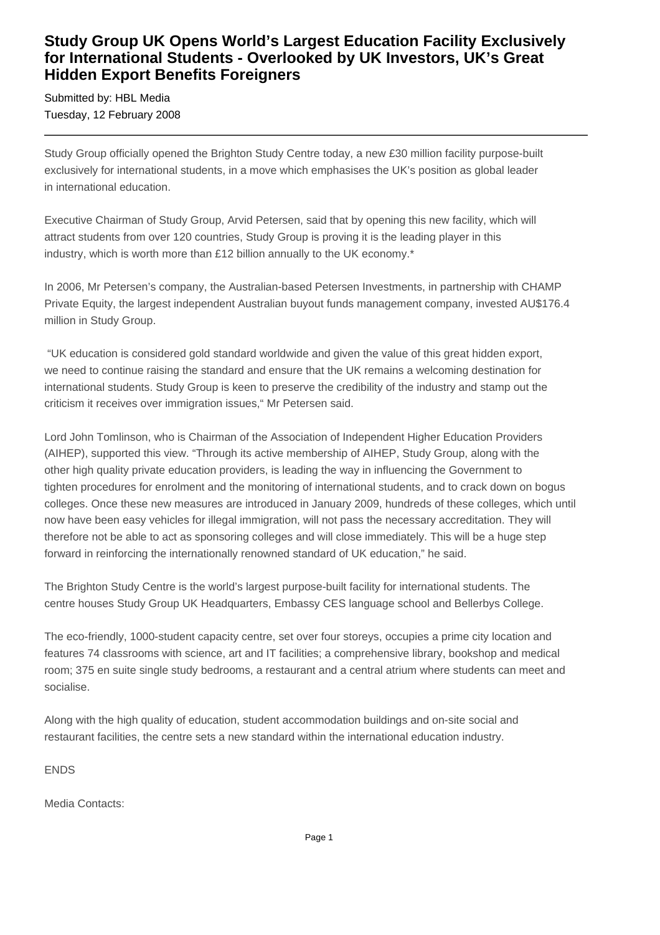## **Study Group UK Opens World's Largest Education Facility Exclusively for International Students - Overlooked by UK Investors, UK's Great Hidden Export Benefits Foreigners**

Submitted by: HBL Media Tuesday, 12 February 2008

Study Group officially opened the Brighton Study Centre today, a new £30 million facility purpose-built exclusively for international students, in a move which emphasises the UK's position as global leader in international education.

Executive Chairman of Study Group, Arvid Petersen, said that by opening this new facility, which will attract students from over 120 countries, Study Group is proving it is the leading player in this industry, which is worth more than £12 billion annually to the UK economy.\*

In 2006, Mr Petersen's company, the Australian-based Petersen Investments, in partnership with CHAMP Private Equity, the largest independent Australian buyout funds management company, invested AU\$176.4 million in Study Group.

 "UK education is considered gold standard worldwide and given the value of this great hidden export, we need to continue raising the standard and ensure that the UK remains a welcoming destination for international students. Study Group is keen to preserve the credibility of the industry and stamp out the criticism it receives over immigration issues," Mr Petersen said.

Lord John Tomlinson, who is Chairman of the Association of Independent Higher Education Providers (AIHEP), supported this view. "Through its active membership of AIHEP, Study Group, along with the other high quality private education providers, is leading the way in influencing the Government to tighten procedures for enrolment and the monitoring of international students, and to crack down on bogus colleges. Once these new measures are introduced in January 2009, hundreds of these colleges, which until now have been easy vehicles for illegal immigration, will not pass the necessary accreditation. They will therefore not be able to act as sponsoring colleges and will close immediately. This will be a huge step forward in reinforcing the internationally renowned standard of UK education," he said.

The Brighton Study Centre is the world's largest purpose-built facility for international students. The centre houses Study Group UK Headquarters, Embassy CES language school and Bellerbys College.

The eco-friendly, 1000-student capacity centre, set over four storeys, occupies a prime city location and features 74 classrooms with science, art and IT facilities; a comprehensive library, bookshop and medical room; 375 en suite single study bedrooms, a restaurant and a central atrium where students can meet and socialise.

Along with the high quality of education, student accommodation buildings and on-site social and restaurant facilities, the centre sets a new standard within the international education industry.

ENDS

Media Contacts: